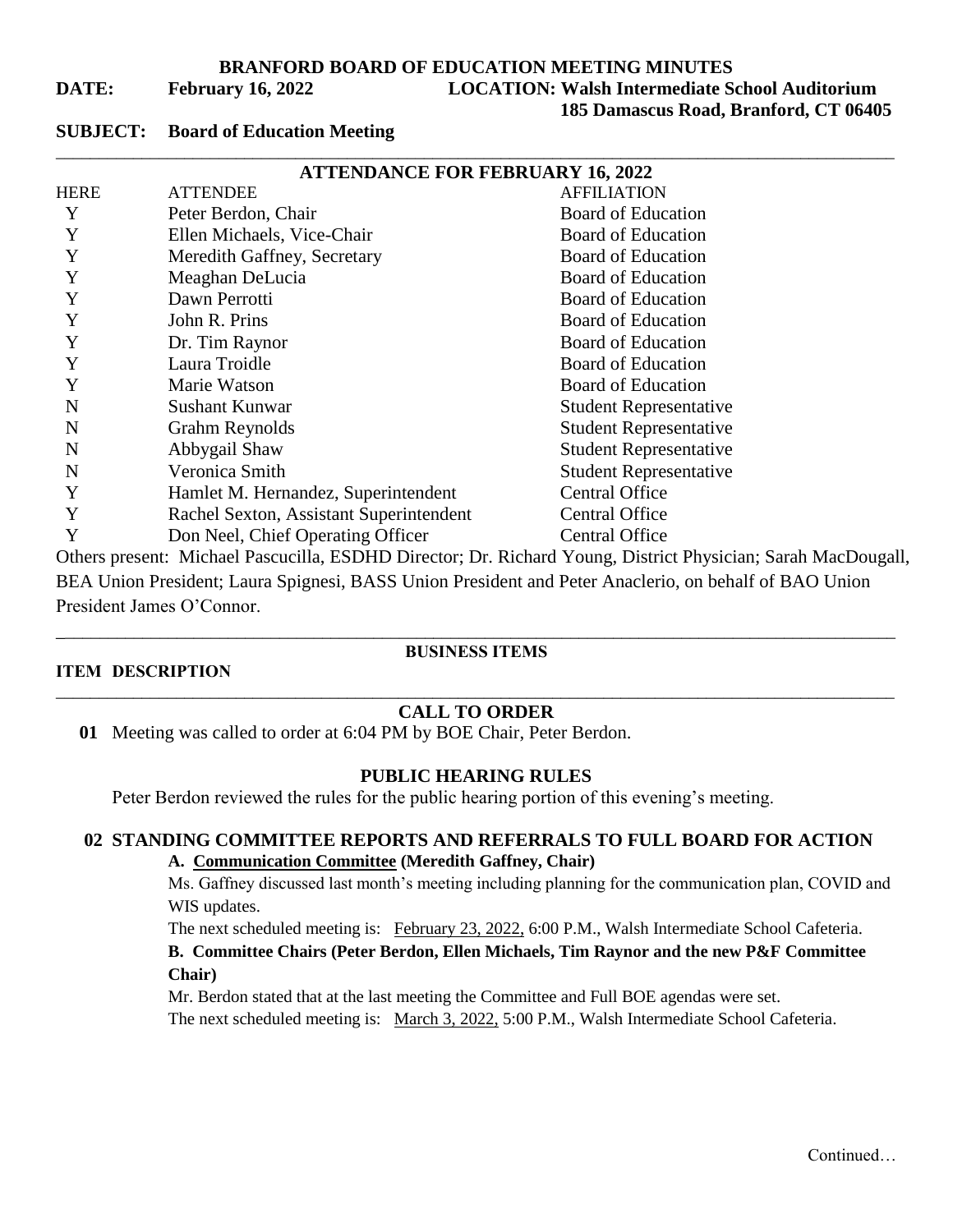**BRANFORD BOARD OF EDUCATION MEETING MINUTES**

**DATE: February 16, 2022 LOCATION: Walsh Intermediate School Auditorium**

### **185 Damascus Road, Branford, CT 06405**

### **SUBJECT: Board of Education Meeting**

| <b>ATTENDANCE FOR FEBRUARY 16, 2022</b> |                                         |                                                                                                              |
|-----------------------------------------|-----------------------------------------|--------------------------------------------------------------------------------------------------------------|
| <b>HERE</b>                             | <b>ATTENDEE</b>                         | <b>AFFILIATION</b>                                                                                           |
| Y                                       | Peter Berdon, Chair                     | Board of Education                                                                                           |
| Y                                       | Ellen Michaels, Vice-Chair              | <b>Board of Education</b>                                                                                    |
| Y                                       | Meredith Gaffney, Secretary             | Board of Education                                                                                           |
| Y                                       | Meaghan DeLucia                         | Board of Education                                                                                           |
| Y                                       | Dawn Perrotti                           | Board of Education                                                                                           |
| Y                                       | John R. Prins                           | Board of Education                                                                                           |
| Y                                       | Dr. Tim Raynor                          | Board of Education                                                                                           |
| Y                                       | Laura Troidle                           | Board of Education                                                                                           |
| Y                                       | Marie Watson                            | Board of Education                                                                                           |
| N                                       | <b>Sushant Kunwar</b>                   | <b>Student Representative</b>                                                                                |
| N                                       | Grahm Reynolds                          | <b>Student Representative</b>                                                                                |
| N                                       | Abbygail Shaw                           | <b>Student Representative</b>                                                                                |
| N                                       | Veronica Smith                          | <b>Student Representative</b>                                                                                |
| Y                                       | Hamlet M. Hernandez, Superintendent     | <b>Central Office</b>                                                                                        |
| Y                                       | Rachel Sexton, Assistant Superintendent | <b>Central Office</b>                                                                                        |
| Y                                       | Don Neel, Chief Operating Officer       | <b>Central Office</b>                                                                                        |
|                                         |                                         | Others present: Michael Pascucilla, ESDHD Director; Dr. Richard Young, District Physician; Sarah MacDougall, |

BEA Union President; Laura Spignesi, BASS Union President and Peter Anaclerio, on behalf of BAO Union President James O'Connor.

# **ITEM DESCRIPTION**

# \_\_\_\_\_\_\_\_\_\_\_\_\_\_\_\_\_\_\_\_\_\_\_\_\_\_\_\_\_\_\_\_\_\_\_\_\_\_\_\_\_\_\_\_\_\_\_\_\_\_\_\_\_\_\_\_\_\_\_\_\_\_\_\_\_\_\_\_\_\_\_\_\_\_\_\_\_\_\_\_\_\_\_\_\_\_\_\_\_\_\_\_\_\_\_\_\_\_ **BUSINESS ITEMS**

### \_\_\_\_\_\_\_\_\_\_\_\_\_\_\_\_\_\_\_\_\_\_\_\_\_\_\_\_\_\_\_\_\_\_\_\_\_\_\_\_\_\_\_\_\_\_\_\_\_\_\_\_\_\_\_\_\_\_\_\_\_\_\_\_\_\_\_\_\_\_\_\_\_\_\_\_\_\_\_\_\_\_\_\_\_\_\_\_\_\_\_\_\_\_\_\_\_\_ **CALL TO ORDER**

**01** Meeting was called to order at 6:04 PM by BOE Chair, Peter Berdon.

# **PUBLIC HEARING RULES**

Peter Berdon reviewed the rules for the public hearing portion of this evening's meeting.

# **02 STANDING COMMITTEE REPORTS AND REFERRALS TO FULL BOARD FOR ACTION A. Communication Committee (Meredith Gaffney, Chair)**

Ms. Gaffney discussed last month's meeting including planning for the communication plan, COVID and WIS updates.

The next scheduled meeting is: February 23, 2022, 6:00 P.M., Walsh Intermediate School Cafeteria.

# **B. Committee Chairs (Peter Berdon, Ellen Michaels, Tim Raynor and the new P&F Committee Chair)**

Mr. Berdon stated that at the last meeting the Committee and Full BOE agendas were set.

The next scheduled meeting is: March 3, 2022, 5:00 P.M., Walsh Intermediate School Cafeteria.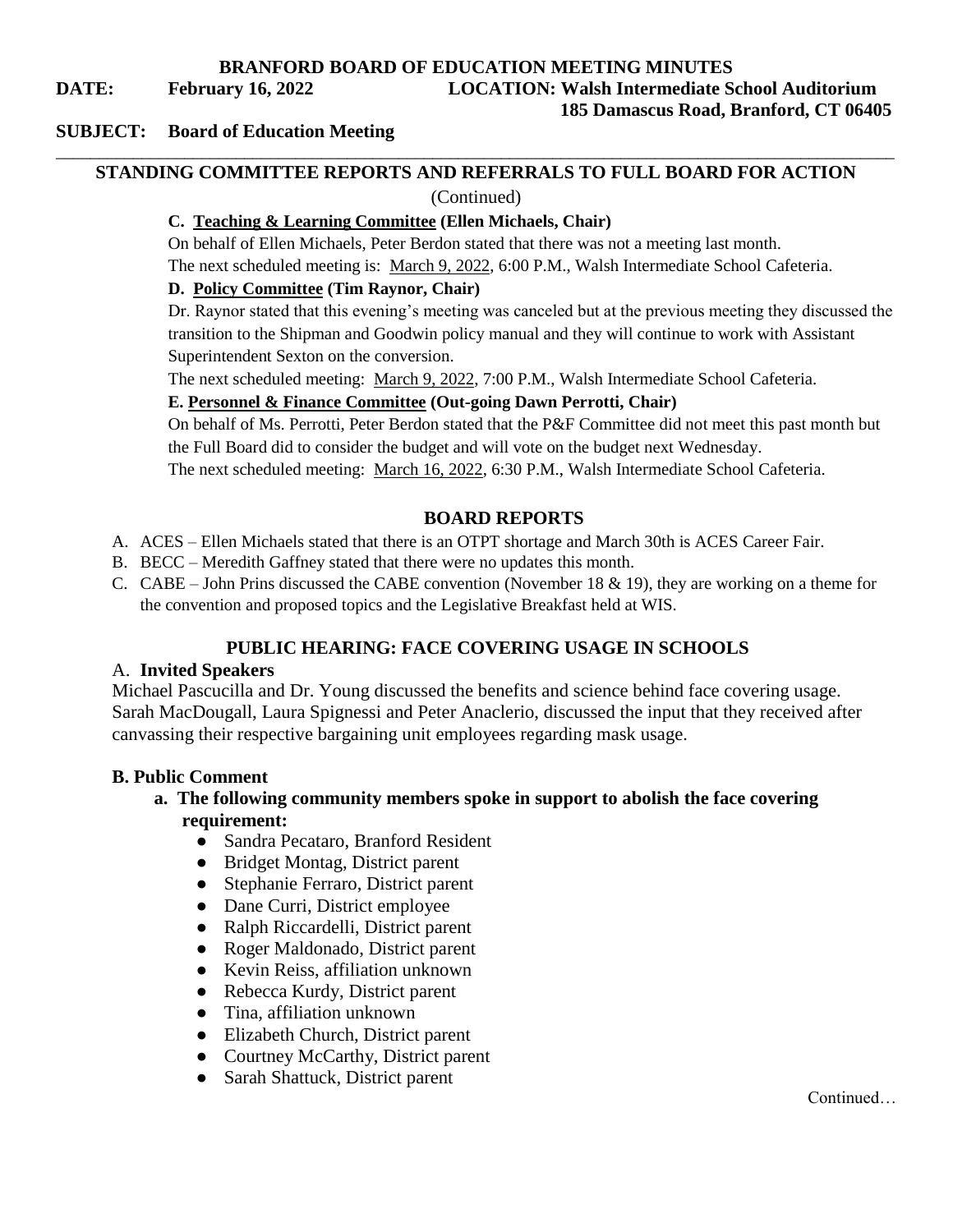**BRANFORD BOARD OF EDUCATION MEETING MINUTES**

**DATE: February 16, 2022 LOCATION: Walsh Intermediate School Auditorium**

**185 Damascus Road, Branford, CT 06405**

### **SUBJECT: Board of Education Meeting**

# \_\_\_\_\_\_\_\_\_\_\_\_\_\_\_\_\_\_\_\_\_\_\_\_\_\_\_\_\_\_\_\_\_\_\_\_\_\_\_\_\_\_\_\_\_\_\_\_\_\_\_\_\_\_\_\_\_\_\_\_\_\_\_\_\_\_\_\_\_\_\_\_\_\_\_\_\_\_\_\_\_\_\_\_\_\_\_\_\_\_\_\_\_\_\_\_\_\_ **STANDING COMMITTEE REPORTS AND REFERRALS TO FULL BOARD FOR ACTION**

(Continued)

# **C. Teaching & Learning Committee (Ellen Michaels, Chair)**

On behalf of Ellen Michaels, Peter Berdon stated that there was not a meeting last month.

The next scheduled meeting is: March 9, 2022, 6:00 P.M., Walsh Intermediate School Cafeteria.

### **D. Policy Committee (Tim Raynor, Chair)**

Dr. Raynor stated that this evening's meeting was canceled but at the previous meeting they discussed the transition to the Shipman and Goodwin policy manual and they will continue to work with Assistant Superintendent Sexton on the conversion.

The next scheduled meeting: March 9, 2022, 7:00 P.M., Walsh Intermediate School Cafeteria.

# **E. Personnel & Finance Committee (Out-going Dawn Perrotti, Chair)**

On behalf of Ms. Perrotti, Peter Berdon stated that the P&F Committee did not meet this past month but the Full Board did to consider the budget and will vote on the budget next Wednesday. The next scheduled meeting: March 16, 2022, 6:30 P.M., Walsh Intermediate School Cafeteria.

# **BOARD REPORTS**

- A. ACES Ellen Michaels stated that there is an OTPT shortage and March 30th is ACES Career Fair.
- B. BECC Meredith Gaffney stated that there were no updates this month.
- C. CABE John Prins discussed the CABE convention (November 18 & 19), they are working on a theme for the convention and proposed topics and the Legislative Breakfast held at WIS.

# **PUBLIC HEARING: FACE COVERING USAGE IN SCHOOLS**

# A. **Invited Speakers**

Michael Pascucilla and Dr. Young discussed the benefits and science behind face covering usage. Sarah MacDougall, Laura Spignessi and Peter Anaclerio, discussed the input that they received after canvassing their respective bargaining unit employees regarding mask usage.

# **B. Public Comment**

# **a. The following community members spoke in support to abolish the face covering requirement:**

- Sandra Pecataro, Branford Resident
- Bridget Montag, District parent
- Stephanie Ferraro, District parent
- Dane Curri, District employee
- Ralph Riccardelli, District parent
- Roger Maldonado, District parent
- Kevin Reiss, affiliation unknown
- Rebecca Kurdy, District parent
- Tina, affiliation unknown
- Elizabeth Church, District parent
- Courtney McCarthy, District parent
- Sarah Shattuck, District parent

Continued…